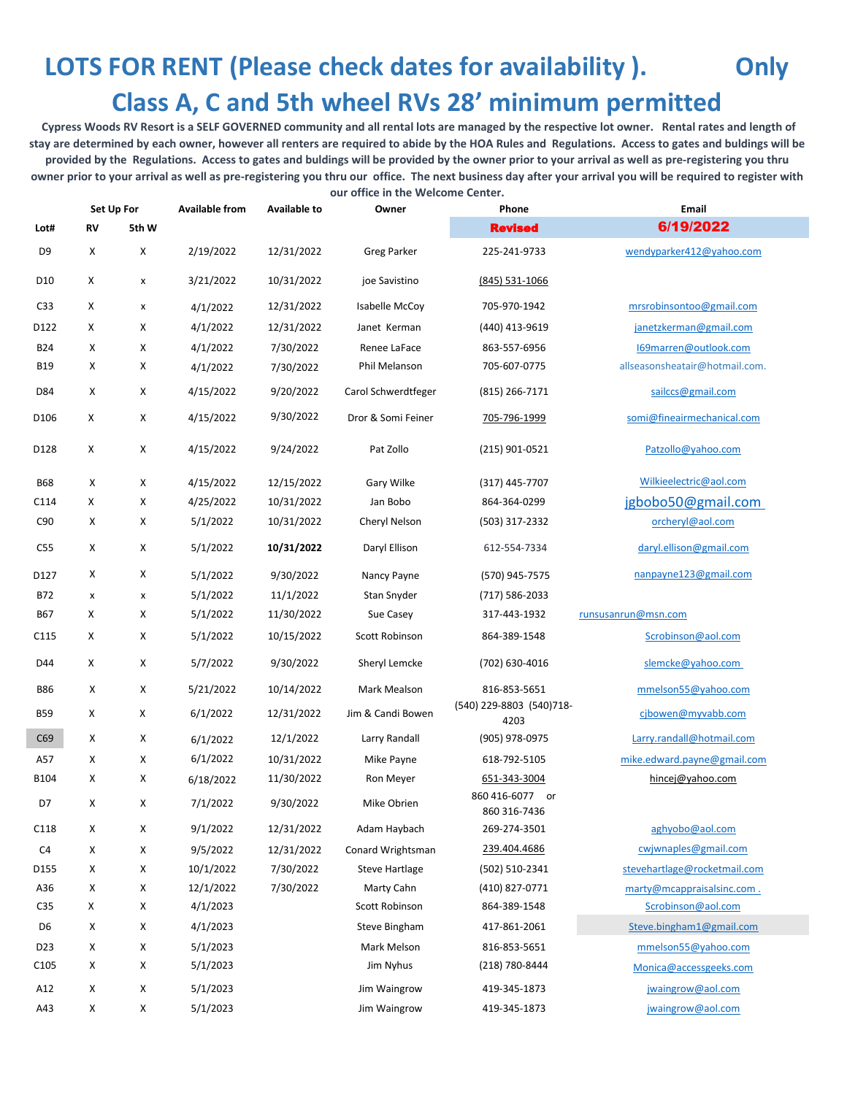## **LOTS FOR RENT (Please check dates for availability ). Only Class A, C and 5th wheel RVs 28' minimum permitted**

 **Cypress Woods RV Resort is a SELF GOVERNED community and all rental lots are managed by the respective lot owner. Rental rates and length of stay are determined by each owner, however all renters are required to abide by the HOA Rules and Regulations. Access to gates and buldings will be provided by the Regulations. Access to gates and buldings will be provided by the owner prior to your arrival as well as pre-registering you thru owner prior to your arrival as well as pre-registering you thru our office. The next business day after your arrival you will be required to register with our office in the Welcome Center.**

**Available from Available to Owner Phone Email Lot# RV 5th W** Revised 6/19/2022 D9 X X 2/19/2022 12/31/2022 Greg Parker 225-241-9733 [wendyparker412@yahoo.com](mailto:wendyparker412@yahoo.com) D10 X x 3/21/2022 10/31/2022 joe Savistino (845) 531-1066 C33 X x 4/1/2022 12/31/2022 Isabelle McCoy 705-970-1942 [mrsrobinsontoo@gmail.com](mailto:mrsrobinsontoo@gmail.com) D122 X X 4/1/2022 12/31/2022 Janet Kerman (440) 413-9619 [janetzkerman@gmail.com](mailto:janetzkerman@gmail.com) B24 X X 4/1/2022 7/30/2022 Renee LaFace 863-557-6956 [I69marren@outlook.com](mailto:I69marren@outlook.com) B19 X X 4/1/2022 7/30/2022 Phil Melanson 705-607-0775 allseasonsheatair@hotmail.com. D84 X X 4/15/2022 9/20/2022 Carol Schwerdtfeger (815) 266-7171 [sailccs@gmail.com](mailto:sailccs@gmail.com) D106 X X 4/15/2022 9/30/2022 Dror & Somi Feiner 705-796-1999 [somi@fineairmechanical.com](mailto:somi@fineairmechanical.com) D128 X X 4/15/2022 9/24/2022 Pat Zollo (215) 901-0521 [Patzollo@yahoo.com](mailto:Patzollo@yahoo.com) B68 X X 4/15/2022 12/15/2022 Gary Wilke (317) 445-7707 [Wilkieelectric@aol.com](mailto:Wilkieelectric@aol.com) C114 X X 4/25/2022 10/31/2022 Jan Bobo 864-364-0299 jgbobo50@gmail.com C90 X X 5/1/2022 10/31/2022 Cheryl Nelson (503) 317-2332 [orcheryl@aol.com](mailto:orcheryl@aol.com) C55 X X 5/1/2022 **10/31/2022** Daryl Ellison 612-554-7334 [daryl.ellison@gmail.com](mailto:daryl.ellison@gmail.com) D127 X X 5/1/2022 9/30/2022 Nancy Payne (570) 945-7575 [nanpayne123@gmail.com](mailto:nanpayne123@gmail.com) B72 x x 5/1/2022 11/1/2022 Stan Snyder (717) 586-2033 B67 X X 5/1/2022 11/30/2022 Sue Casey 317-443-1932 [runsusanrun@msn.com](mailto:runsusanrun@msn.com) C115 X X 5/1/2022 10/15/2022 Scott Robinson 864-389-1548 Scrobinson@aol.com D44 X X 5/7/2022 9/30/2022 Sheryl Lemcke (702) 630-4016 slemcke@yahoo.com B86 X X 5/21/2022 10/14/2022 Mark Mealson 816-853-5651 [mmelson55@yahoo.com](mailto:mmelson55@yahoo.com) B59 <sup>X</sup> <sup>X</sup> 6/1/2022 12/31/2022 Jim & Candi Bowen (540) 229-8803 (540)718- 4203 [cjbowen@myvabb.com](mailto:cjbowen@myvabb.com) C69 X X 6/1/2022 12/1/2022 Larry Randall (905) 978-0975 [Larry.randall@hotmail.com](mailto:Larry.randall@hotmail.com) A57 X X 6/1/2022 10/31/2022 Mike Payne 618-792-5105 [mike.edward.payne@gmail.com](mailto:mike.edward.payne@gmail.com) B104 X X 6/18/2022 11/30/2022 Ron Meyer [651-343-3004](tel:651-343-3004) [hincej@yahoo.com](mailto:hincej@yahoo.com) D7 <sup>X</sup> <sup>X</sup> 7/1/2022 9/30/2022 Mike Obrien 860 416-6077 or 860 316-7436 C118 X X 9/1/2022 12/31/2022 Adam Haybach 269-274-3501 [aghyobo@aol.com](mailto:aghyobo@aol.com) C4 X X 9/5/2022 12/31/2022 Conard Wrightsman 239.404.4686 [cwjwnaples@gmail.com](mailto:cwjwnaples@gmail.com) D155 X X 10/1/2022 7/30/2022 Steve Hartlage (502) 510-2341 [stevehartlage@rocketmail.com](mailto:stevehartlage@rocketmail.com) A36 X X 12/1/2022 7/30/2022 Marty Cahn (410) 827-0771 [marty@mcappraisalsinc.com .](mailto:marty@mcappraisalsinc.com) C35 X X 4/1/2023 Scott Robinson 864-389-1548 Scrobinson@aol.com D6 X X 4/1/2023 Steve Bingham 417-861-2061 [Steve.bingham1@gmail.com](mailto:Steve.bingham1@gmail.com) D23 X X 5/1/2023 Mark Melson 816-853-5651 [mmelson55@yahoo.com](mailto:mmelson55@yahoo.com) C105 X X 5/1/2023 Jim Nyhus (218) 780-8444 [Monica@accessgeeks.com](mailto:Monica@accessgeeks.com) A12 X X 5/1/2023 Jim Waingrow 419-345-1873 *[jwaingrow@aol.com](mailto:jwaingrow@aol.com)* A43 X X 5/1/2023 Jim Waingrow 419-345-1873 [jwaingrow@aol.com](mailto:jwaingrow@aol.com) **Set Up For**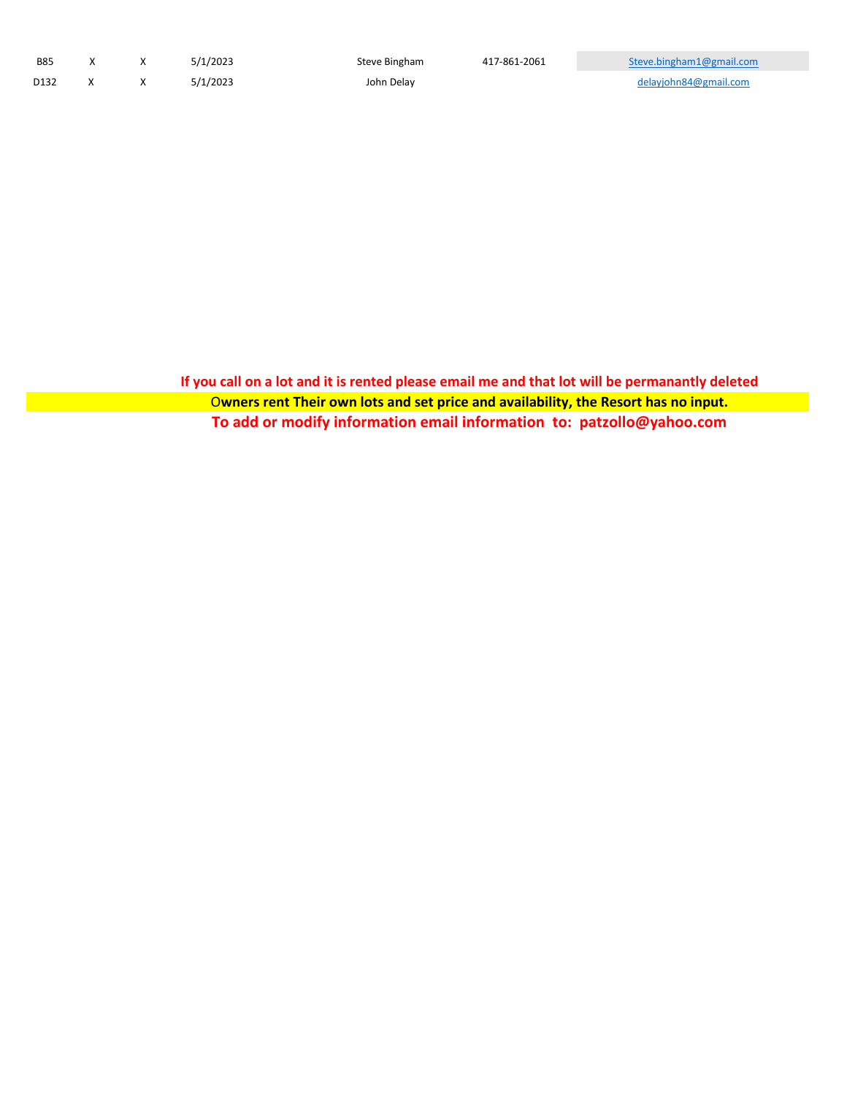| <b>B85</b> |  | 5/1/2023 | Steve Bingham | 417-861-2061 | Steve.bingham1@gmail.com |
|------------|--|----------|---------------|--------------|--------------------------|
| D132       |  | 5/1/2023 | John Delay    |              | delayjohn84@gmail.com    |

**If you call on a lot and it is rented please email me and that lot will be permanantly deleted** O**wners rent Their own lots and set price and availability, the Resort has no input. To add or modify information email information to: patzollo@yahoo.com**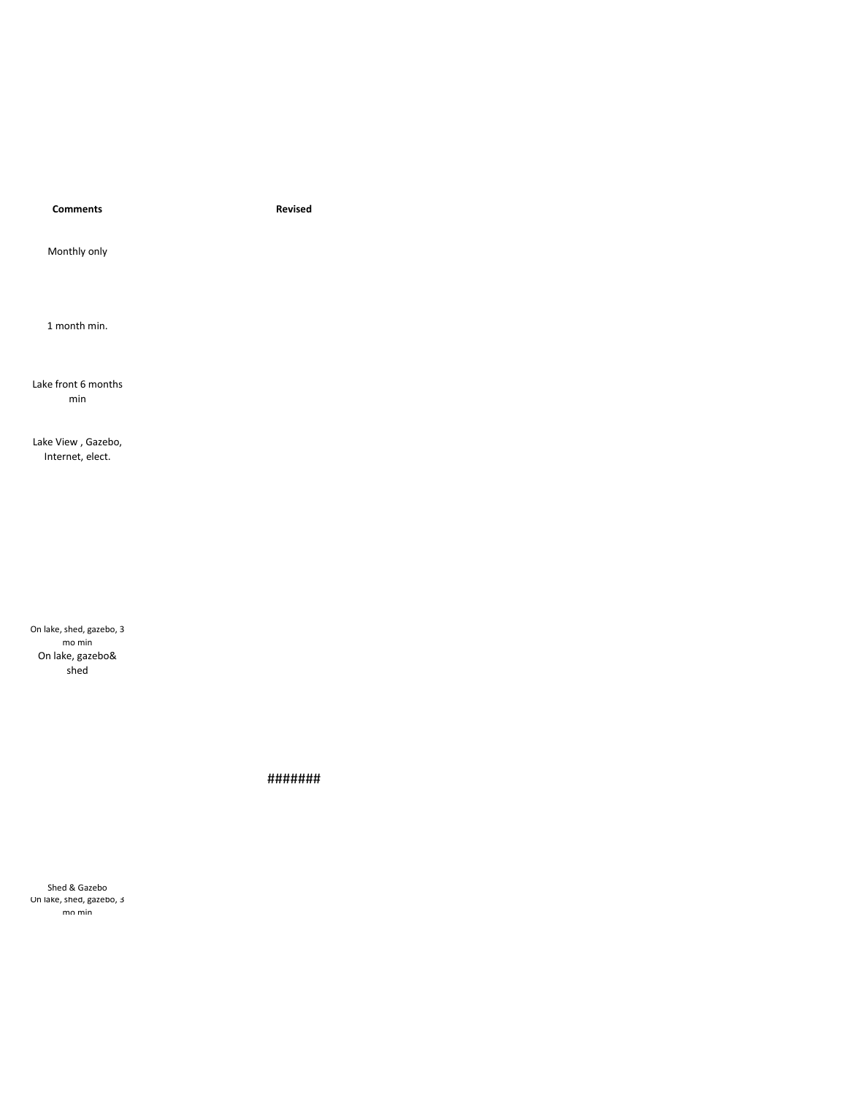**Comments Revised**

Monthly only

1 month min.

Lake front 6 months min

Lake View , Gazebo, Internet, elect.

On lake, shed, gazebo, 3 mo min On lake, gazebo& shed

#######

Shed & Gazebo On lake, shed, gazebo, 3 mo min